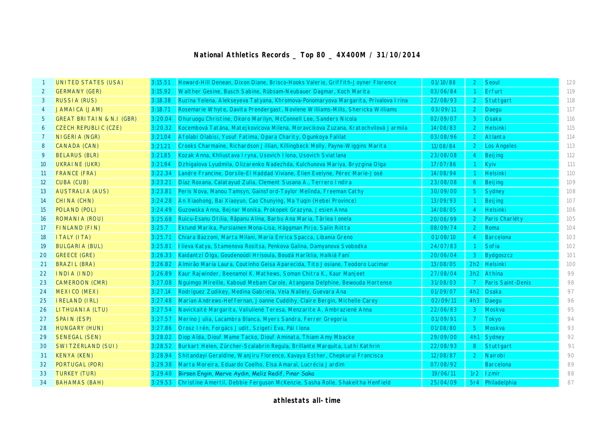## **National Athletics Records \_ Top 80 \_ 4X400M / 31/10/2014**

|                   | <b>UNITED STATES (USA)</b>  | 3:15.51 | Howard-Hill Denean, Dixon Diane, Brisco-Hooks Valerie, Griffith-Joyner Florence    | 01/10/88 | $\overline{2}$ | Seoul                    | 120 |
|-------------------|-----------------------------|---------|------------------------------------------------------------------------------------|----------|----------------|--------------------------|-----|
| 2                 | <b>GERMANY (GER)</b>        | 3:15.92 | Walther Gesine, Busch Sabine, Rübsam-Neubauer Dagmar, Koch Marita                  | 03/06/84 | $\overline{1}$ | Erfurt                   | 119 |
| 3                 | <b>RUSSIA (RUS)</b>         | 3:18.38 | Ruzina Yelena, Alekseyeva Tatyana, Khromova-Ponomaryova Margarita, Privalova Irina | 22/08/93 |                | 2 Stuttgart              | 118 |
| 4                 | <b>JAMAICA (JAM)</b>        | 3:18.71 | Rosemarie Whyte, Davita Prendergast, Novlene Williams-Mills, Shericka Williams     | 03/09/11 | $\overline{2}$ | Daegu                    | 117 |
| 5                 | GREAT BRITAIN & N.I (GBR)   | 3:20.04 | Ohuruogu Christine, Okoro Marilyn, McConnell Lee, Sanders Nicola                   | 02/09/07 | $\mathbf{3}$   | Osaka                    | 116 |
| 6                 | <b>CZECH REPUBLIC (CZE)</b> | 3:20.32 | Kocembová Tatána, Matejkovicova Milena, Moravcikova Zuzana, Kratochvílová Jarmila  | 14/08/83 | 2              | Helsinki                 | 115 |
| 7                 | NIGERIA (NGR)               | 3:21.04 | Afolabi Olabisi, Yusuf Fatima, Opara Charity, Ogunkoya Falilat                     | 03/08/96 |                | 2 Atlanta                | 114 |
| 8                 | <b>CANADA (CAN)</b>         | 3:21.21 | Crooks Charmaine, Richardson Jillian, Killingbeck Molly, Payne-Wiggins Marita      | 11/08/84 | $\overline{2}$ | <b>Los Angeles</b>       | 113 |
| 9                 | <b>BELARUS (BLR)</b>        | 3:21.85 | Kozak Anna, Khliustava I ryna, Usovich I Iona, Usovich Sviatlana                   | 23/08/08 | $\overline{4}$ | Beijing                  | 112 |
| 10                | UKRAINE (UKR)               | 3:21.94 | Dzhigalova Lyudmila, Olizarenko Nadezhda, Kulchunova Mariya, Bryzgina Olga         | 17/07/86 |                | Kyiv                     | 111 |
| 11                | <b>FRANCE (FRA)</b>         | 3:22.34 | Landre Francine, Dorsile-El Haddad Viviane, Élien Evelyne, Pérec Marie-José        | 14/08/94 |                | Helsinki                 | 110 |
| $12 \overline{ }$ | CUBA (CUB)                  | 3:23.21 | Díaz Roxana, Calatayud Zulia, Clement Susana A., Terrero Indira                    | 23/08/08 | 6              | Beijing                  | 109 |
| 13                | <b>AUSTRALIA (AUS)</b>      | 3:23.81 | Peris Nova, Manou Tamsyn, Gainsford-Taylor Melinda, Freeman Cathy                  | 30/09/00 | 5 <sup>5</sup> | Sydney                   | 108 |
| 14                | <b>CHINA (CHN)</b>          | 3:24.28 | An Xiaohong, Bai Xiaoyun, Cao Chunying, Ma Yuqin (Hebei Province)                  | 13/09/93 | $\overline{1}$ | Beijing                  | 107 |
| 15                | POLAND (POL)                | 3:24.49 | Guzowska Anna, Bejnar Monika, Prokopek Grazyna, Jesien Anna                        | 14/08/05 | $\overline{4}$ | Helsinki                 | 106 |
| 16                | ROMANIA (ROU)               | 3:25.68 | Ruicu-Esanu Otilia, Râpanu Alina, Barbu Ana Maria, Târlea Ionela                   | 20/06/99 | $\overline{2}$ | Paris Charléty           | 105 |
| 17                | FINLAND (FIN)               | 3:25.7  | Eklund Marika, Pursiainen Mona-Lisa, Häggman Pirjo, Salin Riitta                   | 08/09/74 | $\overline{2}$ | Roma                     | 104 |
| 18                | <b>ITALY (ITA)</b>          | 3:25.71 | Chiara Bazzoni, Marta Milani, Maria Enrica Spacca, Libania Greno                   | 01/08/10 | -4             | Barcelona                | 103 |
| 19                | <b>BULGARIA (BUL)</b>       | 3:25.81 | Ilieva Katya, Stamenova Rositsa, Penkova Galina, Damyanova Svobodka                | 24/07/83 | $\overline{1}$ | Sofia                    | 102 |
| 20                | <b>GREECE (GRE)</b>         | 3:26.33 | Kaidantzí Ólga, Goudenoúdi Hrísoula, Boudá Haríklia, Halkiá Faní                   | 20/06/04 | 3              | Bydgoszcz                | 101 |
| 21                | BRAZIL (BRA)                | 3:26.82 | Almirão Maria Laura, Coutinho Geisa Aparecida, Tito Josiane, Teodoro Lucimar       | 13/08/05 |                | 2h2 Helsinki             | 100 |
| 22                | INDIA (IND)                 | 3:26.89 | Kaur Rajwinder, Beenamol K. Mathews, Soman Chitra K., Kaur Manjeet                 | 27/08/04 |                | 3h2 Athina               | 99  |
| 23                | <b>CAMEROON (CMR)</b>       | 3:27.08 | Nguimgo Mireille, Kaboud Mebam Carole, Atangana Delphine, Bewouda Hortense         | 31/08/03 | $\overline{7}$ | <b>Paris Saint-Denis</b> | 98  |
| 24                | MEXICO (MEX)                | 3:27.14 | Rodríguez Zudikey, Medina Gabriela, Vela Nallely, Guevara Ana                      | 01/09/07 |                | 4h2 Osaka                | 97  |
| 25                | <b>IRELAND (IRL)</b>        | 3:27.48 | Marian Andrews-Heffernan, Joanne Cuddihy, Claire Bergin, Michelle Carey            | 02/09/11 |                | 4h3 Daegu                | 96  |
| 26                | LI THUANI A (LTU)           | 3:27.54 | Navickaité Margarita, Valiuliené Teresa, Menzarite A, Ambraziené Anna              | 22/06/83 | $\mathbf{3}$   | Moskva                   | 95  |
| 27                | <b>SPAIN (ESP)</b>          | 3:27.57 | Merino Julia, Lacambra Blanca, Myers Sandra, Ferrer Gregoria                       | 01/09/91 | $\overline{7}$ | Tokyo                    | 94  |
| 28                | <b>HUNGARY (HUN)</b>        | 3:27.86 | Orosz I rén, Forgács Judit, Szigeti Eva, Pál I lona                                | 01/08/80 | $5^{\circ}$    | Moskva                   | 93  |
| 29                | <b>SENEGAL (SEN)</b>        | 3:28.02 | Diop Aïda, Diouf Mame Tacko, Diouf Aminata, Thiam Amy Mbacke                       | 29/09/00 |                | 4h1 Sydney               | 92  |
| 30                | <b>SWITZERLAND (SUI)</b>    | 3:28.52 | Burkart Helen, Zürcher-Scalabrin Regula, Brillante Marquita, Luthi Kathrin         | 22/08/93 | 8              | Stuttgart                | 91  |
| 31                | <b>KENYA (KEN)</b>          | 3:28.94 | Shitandayi Geraldine, Wanjiru Florence, Kavaya Esther, Chepkurui Francisca         | 12/08/87 | $\overline{2}$ | Nairobi                  | 90  |
| 32                | PORTUGAL (POR)              | 3:29.38 | Marta Moreira, Eduardo Coelho, Elsa Amaral, Lucrécia Jardim                        | 07/08/92 |                | <b>Barcelona</b>         | 89  |
| 33                | <b>TURKEY (TUR)</b>         | 3:29.40 | Birsen Engin, Merve Aydın, Meliz Redif, Pınar Saka                                 | 19/06/11 |                | 1r2 Izmir                | 88  |
| 34                | <b>BAHAMAS (BAH)</b>        | 3:29.53 | Christine Amertil, Debbie Ferguson McKenzie, Sasha Rolle, Shakeitha Henfield       | 25/04/09 |                | 5r4 Philadelphia         | 87  |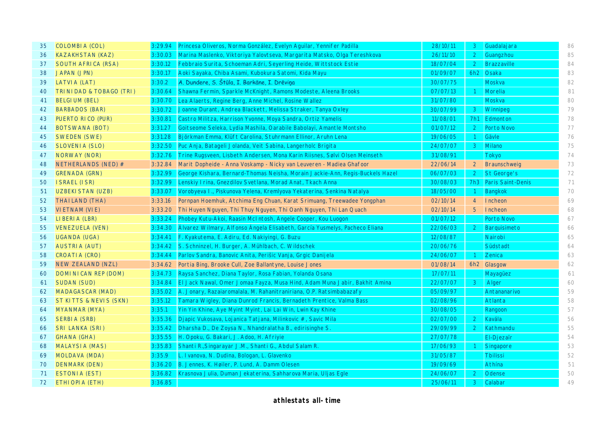| 35 | <b>COLOMBIA (COL)</b>     | 3:29.94 | Princesa Oliveros, Norma González, Evelyn Aquilar, Yennifer Padilla           | 28/10/11 | $\mathbf{3}$   | Guadalajara           | 86 |
|----|---------------------------|---------|-------------------------------------------------------------------------------|----------|----------------|-----------------------|----|
| 36 | <b>KAZAKHSTAN (KAZ)</b>   | 3:30.03 | Marina Maslenko, Viktoriya Yalovtseva, Margarita Matsko, Olga Tereshkova      | 26/11/10 | 2 <sup>1</sup> | Guangzhou             | 85 |
| 37 | <b>SOUTH AFRICA (RSA)</b> | 3:30.12 | Febbraio Surita, Schoeman Adri, Seyerling Heide, Wittstock Estie              | 18/07/04 | $\overline{2}$ | <b>Brazzaville</b>    | 84 |
| 38 | <b>JAPAN (JPN)</b>        | 3:30.17 | Aoki Sayaka, Chiba Asami, Kubokura Satomi, Kida Mayu                          | 01/09/07 | 6h2            | Osaka                 | 83 |
| 39 | LATVI A (LAT)             | 3:30.2  | A. Dundere, S. Štūla, I. Barkāne, I. Drēviņa                                  | 30/07/75 |                | Moskva                | 82 |
| 40 | TRI NI DAD & TOBAGO (TRI) | 3:30.64 | Shawna Fermin, Sparkle McKnight, Ramons Modeste, Aleena Brooks                | 07/07/13 | $\overline{1}$ | Morelia               | 81 |
| 41 | <b>BELGIUM (BEL)</b>      | 3:30.70 | Lea Alaerts, Regine Berg, Anne Michel, Rosine Wallez                          | 31/07/80 |                | Moskva                | 80 |
| 42 | <b>BARBADOS (BAR)</b>     | 3:30.72 | Joanne Durant, Andrea Blackett, Melissa Straker, Tanya Oxley                  | 30/07/99 | $\mathbf{3}$   | Winnipeg              | 79 |
| 43 | PUERTO RICO (PUR)         | 3:30.81 | Castro Militza, Harrison Yvonne, Moya Sandra, Ortiz Yamelis                   | 11/08/01 | 7h1            | Edmonton              | 78 |
| 44 | <b>BOTSWANA (BOT)</b>     | 3:31.27 | Goitseome Seleka, Lydia Mashila, Oarabile Babolayi, Amantle Montsho           | 01/07/12 | $\overline{2}$ | Porto Novo            | 77 |
| 45 | <b>SWEDEN (SWE)</b>       | 3:31.28 | Björkman Emma, Klüft Carolina, Stuhrmann Ellinor, Aruhn Lena                  | 19/06/05 | $\overline{1}$ | Gävle                 | 76 |
| 46 | <b>SLOVENIA (SLO)</b>     | 3:32.50 | Puc Anja, Batageli Jolanda, Veit Sabina, Langerholc Brigita                   | 24/07/07 | 3 <sup>1</sup> | Milano                | 75 |
| 47 | NORWAY (NOR)              | 3:32.76 | Trine Rugsveen, Lisbeth Andersen, Mona Karin Riisnes, Sølvi Olsen Meinseth    | 31/08/91 |                | <b>Tokyo</b>          | 74 |
| 48 | NETHERLANDS (NED) #       | 3:32.84 | Marit Dopheide - Anna Voskamp - Nicky van Leuveren - Madiea Ghafoor           | 22/06/14 | $\overline{2}$ | Braunschweig          | 73 |
| 49 | <b>GRENADA (GRN)</b>      | 3:32.99 | George Kishara, Bernard-Thomas Neisha, Morain Jackie-Ann, Regis-Buckels Hazel | 06/07/03 | 2 <sup>1</sup> | St George's           | 72 |
| 50 | <b>ISRAEL (ISR)</b>       | 3:32.99 | Lenskiy I rina, Gnezdilov Svetlana, Morad Anat, Tkach Anna                    | 30/08/03 |                | 7h3 Paris Saint-Denis | 71 |
| 51 | <b>UZBEKI STAN (UZB)</b>  | 3:33.07 | Vorobyeva I., Piskunova Yelena, Kremlyova Yekaterina, Senkina Natalya         | 18/05/00 | $\overline{1}$ | <b>Bangkok</b>        | 70 |
| 52 | <b>THAILAND (THA)</b>     | 3:33.16 | Pornpan Hoemhuk, Atchima Eng Chuan, Karat Srimuang, Treewadee Yongphan        | 02/10/14 | $\overline{4}$ | <b>Incheon</b>        | 69 |
| 53 | <b>VIETNAM (VIE)</b>      | 3:33.20 | Thi Huyen Nguyen, Thi Thuy Nguyen, Thi Oanh Nguyen, Thi Lan Quach             | 02/10/14 | 5 <sup>5</sup> | <b>Incheon</b>        | 68 |
| 54 | LIBERIA (LBR)             | 3:33.24 | Phobey Kutu-Akoi, Raasin McIntosh, Angele Cooper, Kou Luogon                  | 01/07/12 |                | Porto Novo            | 67 |
| 55 | <b>VENEZUELA (VEN)</b>    | 3:34.30 | Álvarez Wilmary, Alfonso Ángela Elisabeth, García Yusmelys, Pacheco Eliana    | 22/06/03 | 2 <sup>1</sup> | Barquisimeto          | 66 |
| 56 | <b>UGANDA (UGA)</b>       | 3:34.41 | F. Kyakutema, E. Adiru, Ed. Nakiyingi, G. Buzu                                | 12/08/87 |                | Nairobi               | 65 |
| 57 | <b>AUSTRIA (AUT)</b>      | 3:34.42 | S. Schninzel, H. Burger, A. Mühlbach, C. Wildschek                            | 20/06/76 |                | Südstadt              | 64 |
| 58 | CROATIA (CRO)             | 3:34.44 | Parlov Sandra, Banovic Anita, Perišic Vanja, Grgic Danijela                   | 24/06/07 | $\overline{1}$ | Zenica                | 63 |
| 59 | <b>NEW ZEALAND (NZL)</b>  |         | 3:34.62 Portia Bing, Brooke Cull, Zoe Ballantyne, Louise Jones                | 01/08/14 |                | 6h2 Glasgow           | 62 |
| 60 | DOMI NI CAN REP (DOM)     | 3:34.73 | Raysa Sanchez, Diana Taylor, Rosa Fabian, Yolanda Osana                       | 17/07/11 |                | Mayagüez              | 61 |
| 61 | SUDAN (SUD)               | 3:34.84 | El Jack Nawal, Omer Jomaa Fayza, Musa Hind, Adam Muna Jabir, Bakhit Amina     | 22/07/07 | 3              | Alger                 | 60 |
| 62 | <b>MADAGASCAR (MAD)</b>   | 3:35.02 | A. Jonary, Razaiaromalala, M. Rahanitraniriana, O.P. Ratsimbabazafy           | 05/09/97 |                | Antananarivo          | 59 |
| 63 | ST KITTS & NEVIS (SKN)    | 3:35.12 | Tamara Wigley, Diana Dunrod Francis, Bernadeth Prentice, Valma Bass           | 02/08/96 |                | Atlanta               | 58 |
| 64 | MYANMAR (MYA)             | 3:35.1  | Yin Yin Khine, Aye Myint Myint, Lai Lai Win, Lwin Kay Khine                   | 30/08/05 |                | Rangoon               | 57 |
| 65 | <b>SERBIA (SRB)</b>       | 3:35.36 | Djapic Vukosava, Lojanica Tatjana, Milinkovic #, Savic Mila                   | 02/07/00 | 2              | Kavála                | 56 |
| 66 | <b>SRI LANKA (SRI)</b>    | 3:35.42 | Dharsha D., De Zoysa N., Nhandralatha B., edirisinghe S.                      | 29/09/99 | $\overline{2}$ | Kathmandu             | 55 |
| 67 | GHANA (GHA)               | 3:35.55 | H. Opoku, G. Bakari, J. Adoo, H. Afriyie                                      | 27/07/78 |                | El-Djezaïr            | 54 |
| 68 | <b>MALAYSIA (MAS)</b>     | 3:35.83 | Shanti R., Singarayar J.M., Shanti G., Abdul Salam R.                         | 17/06/93 |                | Singapore             | 53 |
| 69 | <b>MOLDAVA (MDA)</b>      | 3:35.9  | L. I vanova, N. Dudina, Bologan, L. Glavenko                                  | 31/05/87 |                | <b>Thilissi</b>       | 52 |
| 70 | <b>DENMARK (DEN)</b>      | 3:36.20 | B. Jennes, K. Høiler, P. Lund, A. Damm Olesen                                 | 19/09/69 |                | Athína                | 51 |
| 71 | ESTONIA (EST)             | 3:36.82 | Krasnova Julia, Duman Jekaterina, Sahharova Maria, Uljas Egle                 | 24/06/07 | $\mathcal{P}$  | Odense                | 50 |
| 72 | ETHIOPIA (ETH)            | 3:36.85 |                                                                               | 25/06/11 | $\mathbf{3}$   | Calabar               | 49 |